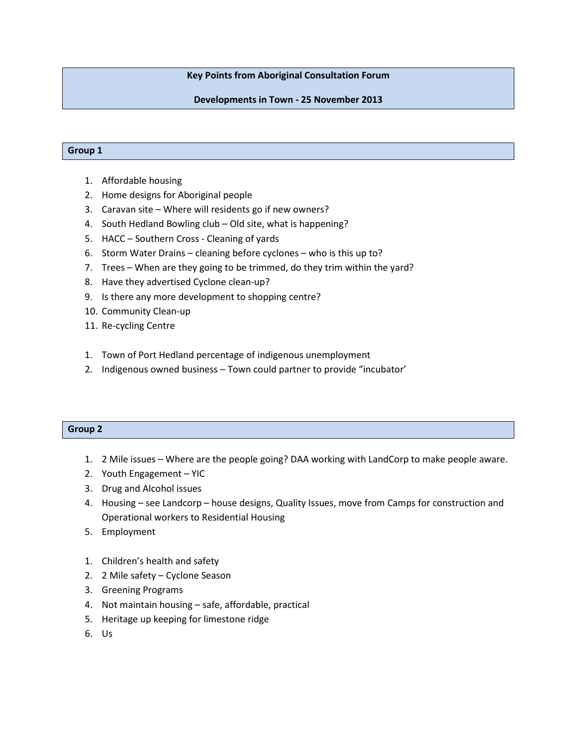# **Key Points from Aboriginal Consultation Forum**

# **Developments in Town - 25 November 2013**

#### **Group 1**

- 1. Affordable housing
- 2. Home designs for Aboriginal people
- 3. Caravan site Where will residents go if new owners?
- 4. South Hedland Bowling club Old site, what is happening?
- 5. HACC Southern Cross Cleaning of yards
- 6. Storm Water Drains cleaning before cyclones who is this up to?
- 7. Trees When are they going to be trimmed, do they trim within the yard?
- 8. Have they advertised Cyclone clean-up?
- 9. Is there any more development to shopping centre?
- 10. Community Clean-up
- 11. Re-cycling Centre
- 1. Town of Port Hedland percentage of indigenous unemployment
- 2. Indigenous owned business Town could partner to provide "incubator'

## **Group 2**

- 1. 2 Mile issues Where are the people going? DAA working with LandCorp to make people aware.
- 2. Youth Engagement YIC
- 3. Drug and Alcohol issues
- 4. Housing see Landcorp house designs, Quality Issues, move from Camps for construction and Operational workers to Residential Housing
- 5. Employment
- 1. Children's health and safety
- 2. 2 Mile safety Cyclone Season
- 3. Greening Programs
- 4. Not maintain housing safe, affordable, practical
- 5. Heritage up keeping for limestone ridge
- 6. Us